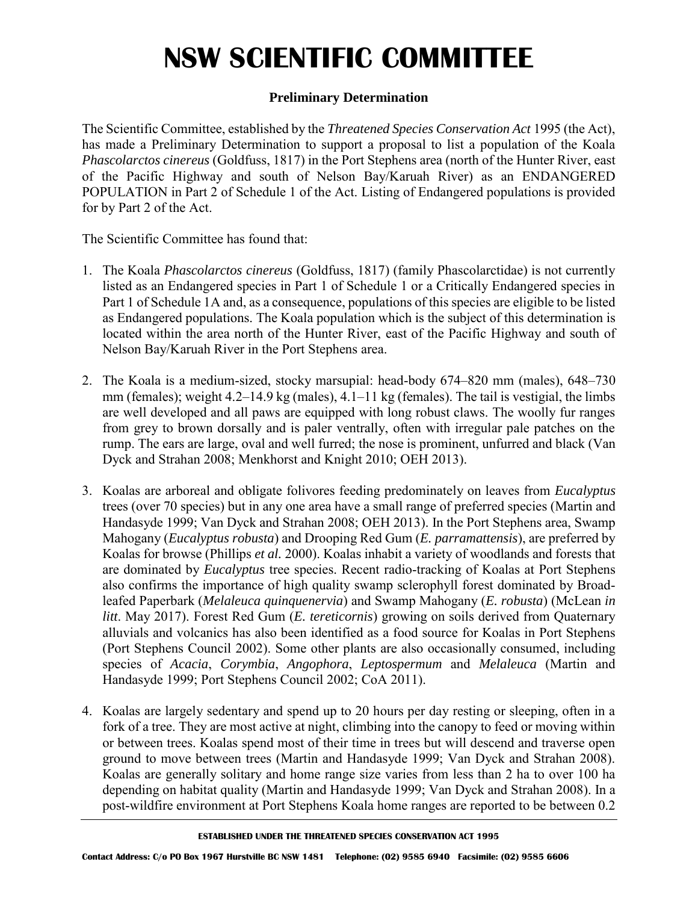### **Preliminary Determination**

The Scientific Committee, established by the *Threatened Species Conservation Act* 1995 (the Act), has made a Preliminary Determination to support a proposal to list a population of the Koala *Phascolarctos cinereus* (Goldfuss, 1817) in the Port Stephens area (north of the Hunter River, east of the Pacific Highway and south of Nelson Bay/Karuah River) as an ENDANGERED POPULATION in Part 2 of Schedule 1 of the Act. Listing of Endangered populations is provided for by Part 2 of the Act.

The Scientific Committee has found that:

- 1. The Koala *Phascolarctos cinereus* (Goldfuss, 1817) (family Phascolarctidae) is not currently listed as an Endangered species in Part 1 of Schedule 1 or a Critically Endangered species in Part 1 of Schedule 1A and, as a consequence, populations of this species are eligible to be listed as Endangered populations. The Koala population which is the subject of this determination is located within the area north of the Hunter River, east of the Pacific Highway and south of Nelson Bay/Karuah River in the Port Stephens area.
- 2. The Koala is a medium-sized, stocky marsupial: head-body 674–820 mm (males), 648–730 mm (females); weight 4.2–14.9 kg (males), 4.1–11 kg (females). The tail is vestigial, the limbs are well developed and all paws are equipped with long robust claws. The woolly fur ranges from grey to brown dorsally and is paler ventrally, often with irregular pale patches on the rump. The ears are large, oval and well furred; the nose is prominent, unfurred and black (Van Dyck and Strahan 2008; Menkhorst and Knight 2010; OEH 2013).
- 3. Koalas are arboreal and obligate folivores feeding predominately on leaves from *Eucalyptus* trees (over 70 species) but in any one area have a small range of preferred species (Martin and Handasyde 1999; Van Dyck and Strahan 2008; OEH 2013). In the Port Stephens area, Swamp Mahogany (*Eucalyptus robusta*) and Drooping Red Gum (*E. parramattensis*), are preferred by Koalas for browse (Phillips *et al.* 2000). Koalas inhabit a variety of woodlands and forests that are dominated by *Eucalyptus* tree species. Recent radio-tracking of Koalas at Port Stephens also confirms the importance of high quality swamp sclerophyll forest dominated by Broadleafed Paperbark (*Melaleuca quinquenervia*) and Swamp Mahogany (*E. robusta*) (McLean *in litt*. May 2017). Forest Red Gum (*E. tereticornis*) growing on soils derived from Quaternary alluvials and volcanics has also been identified as a food source for Koalas in Port Stephens (Port Stephens Council 2002). Some other plants are also occasionally consumed, including species of *Acacia*, *Corymbia*, *Angophora*, *Leptospermum* and *Melaleuca* (Martin and Handasyde 1999; Port Stephens Council 2002; CoA 2011).
- 4. Koalas are largely sedentary and spend up to 20 hours per day resting or sleeping, often in a fork of a tree. They are most active at night, climbing into the canopy to feed or moving within or between trees. Koalas spend most of their time in trees but will descend and traverse open ground to move between trees (Martin and Handasyde 1999; Van Dyck and Strahan 2008). Koalas are generally solitary and home range size varies from less than 2 ha to over 100 ha depending on habitat quality (Martin and Handasyde 1999; Van Dyck and Strahan 2008). In a post-wildfire environment at Port Stephens Koala home ranges are reported to be between 0.2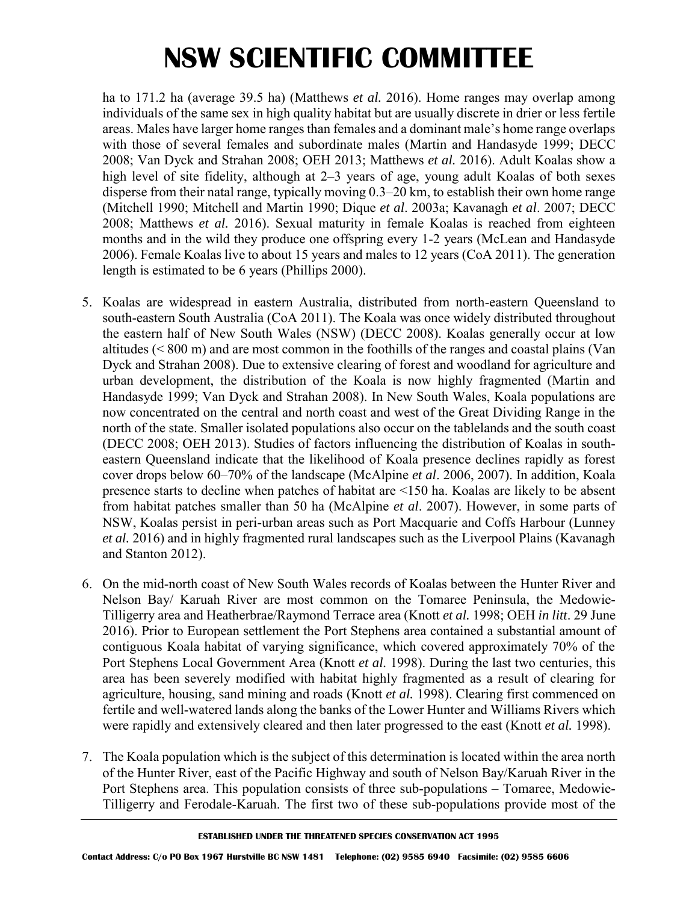ha to 171.2 ha (average 39.5 ha) (Matthews *et al.* 2016). Home ranges may overlap among individuals of the same sex in high quality habitat but are usually discrete in drier or less fertile areas. Males have larger home ranges than females and a dominant male's home range overlaps with those of several females and subordinate males (Martin and Handasyde 1999; DECC 2008; Van Dyck and Strahan 2008; OEH 2013; Matthews *et al.* 2016). Adult Koalas show a high level of site fidelity, although at 2–3 years of age, young adult Koalas of both sexes disperse from their natal range, typically moving 0.3–20 km, to establish their own home range (Mitchell 1990; Mitchell and Martin 1990; Dique *et al*. 2003a; Kavanagh *et al*. 2007; DECC 2008; Matthews *et al.* 2016). Sexual maturity in female Koalas is reached from eighteen months and in the wild they produce one offspring every 1-2 years (McLean and Handasyde 2006). Female Koalas live to about 15 years and males to 12 years (CoA 2011). The generation length is estimated to be 6 years (Phillips 2000).

- 5. Koalas are widespread in eastern Australia, distributed from north-eastern Queensland to south-eastern South Australia (CoA 2011). The Koala was once widely distributed throughout the eastern half of New South Wales (NSW) (DECC 2008). Koalas generally occur at low altitudes (< 800 m) and are most common in the foothills of the ranges and coastal plains (Van Dyck and Strahan 2008). Due to extensive clearing of forest and woodland for agriculture and urban development, the distribution of the Koala is now highly fragmented (Martin and Handasyde 1999; Van Dyck and Strahan 2008). In New South Wales, Koala populations are now concentrated on the central and north coast and west of the Great Dividing Range in the north of the state. Smaller isolated populations also occur on the tablelands and the south coast (DECC 2008; OEH 2013). Studies of factors influencing the distribution of Koalas in southeastern Queensland indicate that the likelihood of Koala presence declines rapidly as forest cover drops below 60–70% of the landscape (McAlpine *et al*. 2006, 2007). In addition, Koala presence starts to decline when patches of habitat are <150 ha. Koalas are likely to be absent from habitat patches smaller than 50 ha (McAlpine *et al*. 2007). However, in some parts of NSW, Koalas persist in peri-urban areas such as Port Macquarie and Coffs Harbour (Lunney *et al.* 2016) and in highly fragmented rural landscapes such as the Liverpool Plains (Kavanagh and Stanton 2012).
- 6. On the mid-north coast of New South Wales records of Koalas between the Hunter River and Nelson Bay/ Karuah River are most common on the Tomaree Peninsula, the Medowie-Tilligerry area and Heatherbrae/Raymond Terrace area (Knott *et al.* 1998; OEH *in litt*. 29 June 2016). Prior to European settlement the Port Stephens area contained a substantial amount of contiguous Koala habitat of varying significance, which covered approximately 70% of the Port Stephens Local Government Area (Knott *et al.* 1998). During the last two centuries, this area has been severely modified with habitat highly fragmented as a result of clearing for agriculture, housing, sand mining and roads (Knott *et al.* 1998). Clearing first commenced on fertile and well-watered lands along the banks of the Lower Hunter and Williams Rivers which were rapidly and extensively cleared and then later progressed to the east (Knott *et al.* 1998).
- 7. The Koala population which is the subject of this determination is located within the area north of the Hunter River, east of the Pacific Highway and south of Nelson Bay/Karuah River in the Port Stephens area. This population consists of three sub-populations – Tomaree, Medowie-Tilligerry and Ferodale-Karuah. The first two of these sub-populations provide most of the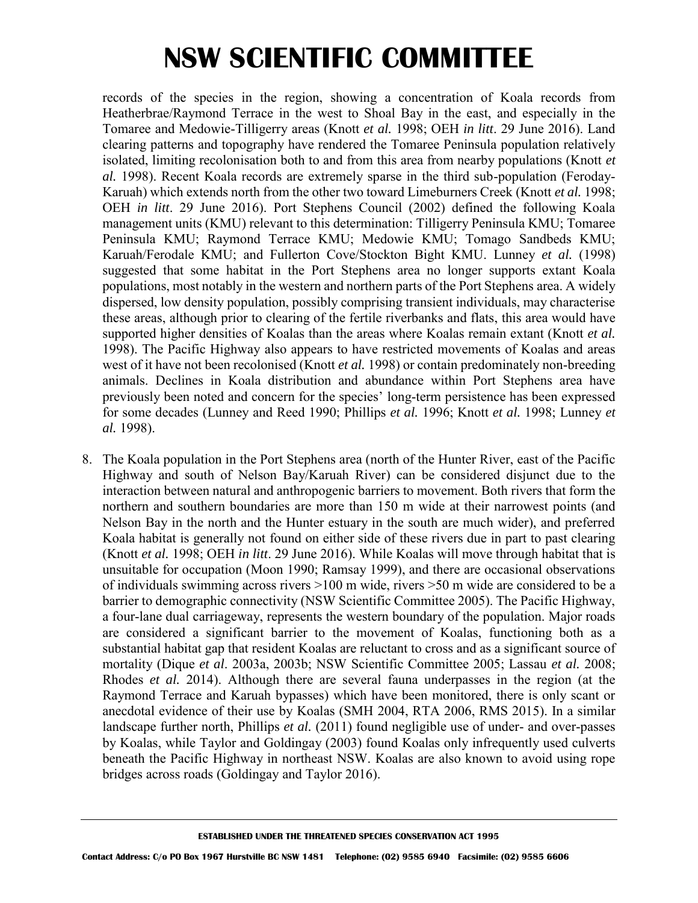records of the species in the region, showing a concentration of Koala records from Heatherbrae/Raymond Terrace in the west to Shoal Bay in the east, and especially in the Tomaree and Medowie-Tilligerry areas (Knott *et al.* 1998; OEH *in litt*. 29 June 2016). Land clearing patterns and topography have rendered the Tomaree Peninsula population relatively isolated, limiting recolonisation both to and from this area from nearby populations (Knott *et al.* 1998). Recent Koala records are extremely sparse in the third sub-population (Feroday-Karuah) which extends north from the other two toward Limeburners Creek (Knott *et al.* 1998; OEH *in litt*. 29 June 2016). Port Stephens Council (2002) defined the following Koala management units (KMU) relevant to this determination: Tilligerry Peninsula KMU; Tomaree Peninsula KMU; Raymond Terrace KMU; Medowie KMU; Tomago Sandbeds KMU; Karuah/Ferodale KMU; and Fullerton Cove/Stockton Bight KMU. Lunney *et al.* (1998) suggested that some habitat in the Port Stephens area no longer supports extant Koala populations, most notably in the western and northern parts of the Port Stephens area. A widely dispersed, low density population, possibly comprising transient individuals, may characterise these areas, although prior to clearing of the fertile riverbanks and flats, this area would have supported higher densities of Koalas than the areas where Koalas remain extant (Knott *et al.* 1998). The Pacific Highway also appears to have restricted movements of Koalas and areas west of it have not been recolonised (Knott *et al.* 1998) or contain predominately non-breeding animals. Declines in Koala distribution and abundance within Port Stephens area have previously been noted and concern for the species' long-term persistence has been expressed for some decades (Lunney and Reed 1990; Phillips *et al.* 1996; Knott *et al.* 1998; Lunney *et al.* 1998).

8. The Koala population in the Port Stephens area (north of the Hunter River, east of the Pacific Highway and south of Nelson Bay/Karuah River) can be considered disjunct due to the interaction between natural and anthropogenic barriers to movement. Both rivers that form the northern and southern boundaries are more than 150 m wide at their narrowest points (and Nelson Bay in the north and the Hunter estuary in the south are much wider), and preferred Koala habitat is generally not found on either side of these rivers due in part to past clearing (Knott *et al.* 1998; OEH *in litt*. 29 June 2016). While Koalas will move through habitat that is unsuitable for occupation (Moon 1990; Ramsay 1999), and there are occasional observations of individuals swimming across rivers  $>100$  m wide, rivers  $>50$  m wide are considered to be a barrier to demographic connectivity (NSW Scientific Committee 2005). The Pacific Highway, a four-lane dual carriageway, represents the western boundary of the population. Major roads are considered a significant barrier to the movement of Koalas, functioning both as a substantial habitat gap that resident Koalas are reluctant to cross and as a significant source of mortality (Dique *et al*. 2003a, 2003b; NSW Scientific Committee 2005; Lassau *et al.* 2008; Rhodes *et al.* 2014). Although there are several fauna underpasses in the region (at the Raymond Terrace and Karuah bypasses) which have been monitored, there is only scant or anecdotal evidence of their use by Koalas (SMH 2004, RTA 2006, RMS 2015). In a similar landscape further north, Phillips *et al.* (2011) found negligible use of under- and over-passes by Koalas, while Taylor and Goldingay (2003) found Koalas only infrequently used culverts beneath the Pacific Highway in northeast NSW. Koalas are also known to avoid using rope bridges across roads (Goldingay and Taylor 2016).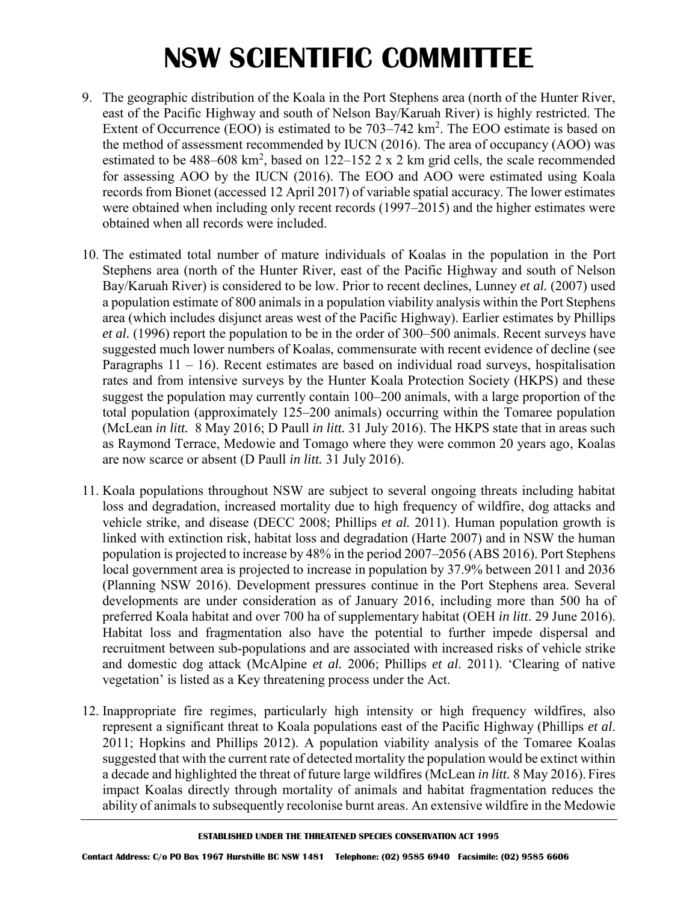- 9. The geographic distribution of the Koala in the Port Stephens area (north of the Hunter River, east of the Pacific Highway and south of Nelson Bay/Karuah River) is highly restricted. The Extent of Occurrence (EOO) is estimated to be  $703-742 \text{ km}^2$ . The EOO estimate is based on the method of assessment recommended by IUCN (2016). The area of occupancy (AOO) was estimated to be 488–608 km<sup>2</sup>, based on 122–152 2 x 2 km grid cells, the scale recommended for assessing AOO by the IUCN (2016). The EOO and AOO were estimated using Koala records from Bionet (accessed 12 April 2017) of variable spatial accuracy. The lower estimates were obtained when including only recent records (1997–2015) and the higher estimates were obtained when all records were included.
- 10. The estimated total number of mature individuals of Koalas in the population in the Port Stephens area (north of the Hunter River, east of the Pacific Highway and south of Nelson Bay/Karuah River) is considered to be low. Prior to recent declines, Lunney *et al.* (2007) used a population estimate of 800 animals in a population viability analysis within the Port Stephens area (which includes disjunct areas west of the Pacific Highway). Earlier estimates by Phillips *et al.* (1996) report the population to be in the order of 300–500 animals. Recent surveys have suggested much lower numbers of Koalas, commensurate with recent evidence of decline (see Paragraphs  $11 - 16$ ). Recent estimates are based on individual road surveys, hospitalisation rates and from intensive surveys by the Hunter Koala Protection Society (HKPS) and these suggest the population may currently contain 100–200 animals, with a large proportion of the total population (approximately 125–200 animals) occurring within the Tomaree population (McLean *in litt.* 8 May 2016; D Paull *in litt.* 31 July 2016). The HKPS state that in areas such as Raymond Terrace, Medowie and Tomago where they were common 20 years ago, Koalas are now scarce or absent (D Paull *in litt.* 31 July 2016).
- 11. Koala populations throughout NSW are subject to several ongoing threats including habitat loss and degradation, increased mortality due to high frequency of wildfire, dog attacks and vehicle strike, and disease (DECC 2008; Phillips *et al.* 2011). Human population growth is linked with extinction risk, habitat loss and degradation (Harte 2007) and in NSW the human population is projected to increase by 48% in the period 2007–2056 (ABS 2016). Port Stephens local government area is projected to increase in population by 37.9% between 2011 and 2036 (Planning NSW 2016). Development pressures continue in the Port Stephens area. Several developments are under consideration as of January 2016, including more than 500 ha of preferred Koala habitat and over 700 ha of supplementary habitat (OEH *in litt*. 29 June 2016). Habitat loss and fragmentation also have the potential to further impede dispersal and recruitment between sub-populations and are associated with increased risks of vehicle strike and domestic dog attack (McAlpine *et al.* 2006; Phillips *et al*. 2011). 'Clearing of native vegetation' is listed as a Key threatening process under the Act.
- 12. Inappropriate fire regimes, particularly high intensity or high frequency wildfires, also represent a significant threat to Koala populations east of the Pacific Highway (Phillips *et al*. 2011; Hopkins and Phillips 2012). A population viability analysis of the Tomaree Koalas suggested that with the current rate of detected mortality the population would be extinct within a decade and highlighted the threat of future large wildfires (McLean *in litt.* 8 May 2016). Fires impact Koalas directly through mortality of animals and habitat fragmentation reduces the ability of animals to subsequently recolonise burnt areas. An extensive wildfire in the Medowie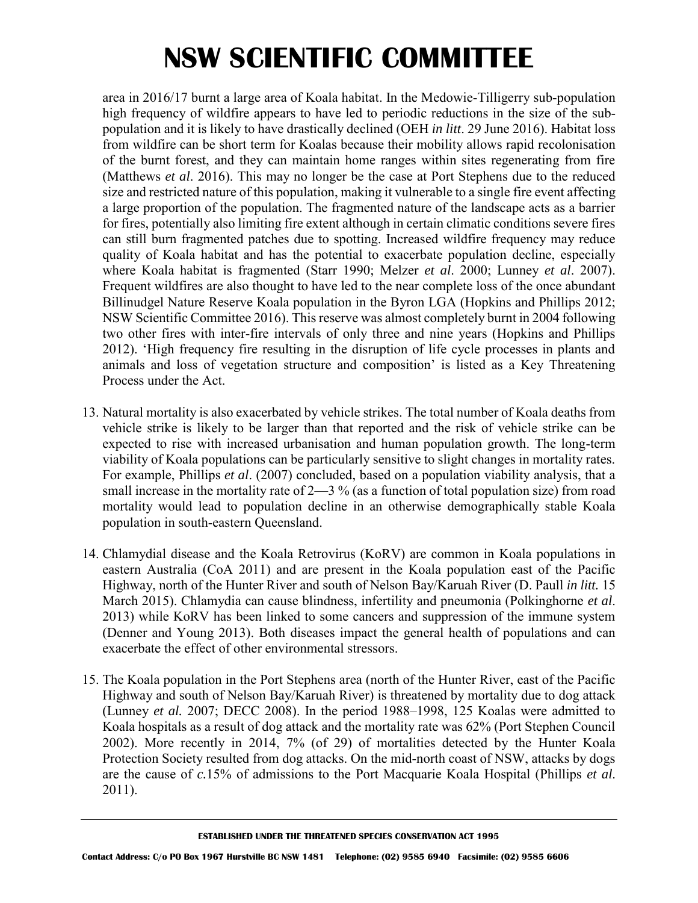area in 2016/17 burnt a large area of Koala habitat. In the Medowie-Tilligerry sub-population high frequency of wildfire appears to have led to periodic reductions in the size of the subpopulation and it is likely to have drastically declined (OEH *in litt*. 29 June 2016). Habitat loss from wildfire can be short term for Koalas because their mobility allows rapid recolonisation of the burnt forest, and they can maintain home ranges within sites regenerating from fire (Matthews *et al*. 2016). This may no longer be the case at Port Stephens due to the reduced size and restricted nature of this population, making it vulnerable to a single fire event affecting a large proportion of the population. The fragmented nature of the landscape acts as a barrier for fires, potentially also limiting fire extent although in certain climatic conditions severe fires can still burn fragmented patches due to spotting. Increased wildfire frequency may reduce quality of Koala habitat and has the potential to exacerbate population decline, especially where Koala habitat is fragmented (Starr 1990; Melzer *et al*. 2000; Lunney *et al*. 2007). Frequent wildfires are also thought to have led to the near complete loss of the once abundant Billinudgel Nature Reserve Koala population in the Byron LGA (Hopkins and Phillips 2012; NSW Scientific Committee 2016). This reserve was almost completely burnt in 2004 following two other fires with inter-fire intervals of only three and nine years (Hopkins and Phillips 2012). 'High frequency fire resulting in the disruption of life cycle processes in plants and animals and loss of vegetation structure and composition' is listed as a Key Threatening Process under the Act.

- 13. Natural mortality is also exacerbated by vehicle strikes. The total number of Koala deaths from vehicle strike is likely to be larger than that reported and the risk of vehicle strike can be expected to rise with increased urbanisation and human population growth. The long-term viability of Koala populations can be particularly sensitive to slight changes in mortality rates. For example, Phillips *et al*. (2007) concluded, based on a population viability analysis, that a small increase in the mortality rate of  $2-3\%$  (as a function of total population size) from road mortality would lead to population decline in an otherwise demographically stable Koala population in south-eastern Queensland.
- 14. Chlamydial disease and the Koala Retrovirus (KoRV) are common in Koala populations in eastern Australia (CoA 2011) and are present in the Koala population east of the Pacific Highway, north of the Hunter River and south of Nelson Bay/Karuah River (D. Paull *in litt.* 15 March 2015). Chlamydia can cause blindness, infertility and pneumonia (Polkinghorne *et al*. 2013) while KoRV has been linked to some cancers and suppression of the immune system (Denner and Young 2013). Both diseases impact the general health of populations and can exacerbate the effect of other environmental stressors.
- 15. The Koala population in the Port Stephens area (north of the Hunter River, east of the Pacific Highway and south of Nelson Bay/Karuah River) is threatened by mortality due to dog attack (Lunney *et al.* 2007; DECC 2008). In the period 1988–1998, 125 Koalas were admitted to Koala hospitals as a result of dog attack and the mortality rate was 62% (Port Stephen Council 2002). More recently in 2014, 7% (of 29) of mortalities detected by the Hunter Koala Protection Society resulted from dog attacks. On the mid-north coast of NSW, attacks by dogs are the cause of *c.*15% of admissions to the Port Macquarie Koala Hospital (Phillips *et al*. 2011).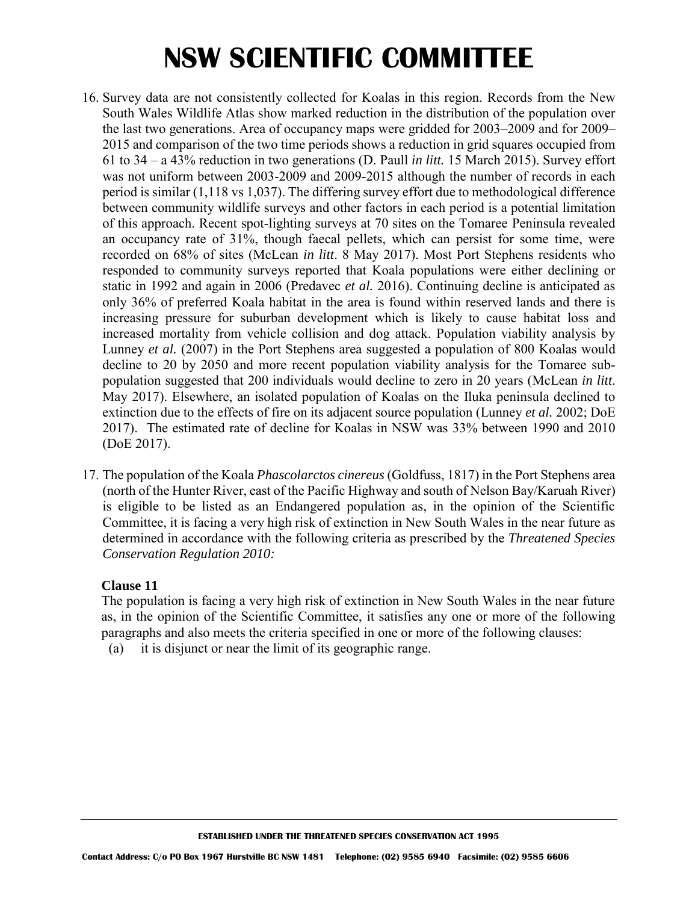- 16. Survey data are not consistently collected for Koalas in this region. Records from the New South Wales Wildlife Atlas show marked reduction in the distribution of the population over the last two generations. Area of occupancy maps were gridded for 2003–2009 and for 2009– 2015 and comparison of the two time periods shows a reduction in grid squares occupied from 61 to 34 – a 43% reduction in two generations (D. Paull *in litt.* 15 March 2015). Survey effort was not uniform between 2003-2009 and 2009-2015 although the number of records in each period is similar (1,118 vs 1,037). The differing survey effort due to methodological difference between community wildlife surveys and other factors in each period is a potential limitation of this approach. Recent spot-lighting surveys at 70 sites on the Tomaree Peninsula revealed an occupancy rate of 31%, though faecal pellets, which can persist for some time, were recorded on 68% of sites (McLean *in litt*. 8 May 2017). Most Port Stephens residents who responded to community surveys reported that Koala populations were either declining or static in 1992 and again in 2006 (Predavec *et al.* 2016). Continuing decline is anticipated as only 36% of preferred Koala habitat in the area is found within reserved lands and there is increasing pressure for suburban development which is likely to cause habitat loss and increased mortality from vehicle collision and dog attack. Population viability analysis by Lunney *et al.* (2007) in the Port Stephens area suggested a population of 800 Koalas would decline to 20 by 2050 and more recent population viability analysis for the Tomaree subpopulation suggested that 200 individuals would decline to zero in 20 years (McLean *in litt*. May 2017). Elsewhere, an isolated population of Koalas on the Iluka peninsula declined to extinction due to the effects of fire on its adjacent source population (Lunney *et al.* 2002; DoE 2017). The estimated rate of decline for Koalas in NSW was 33% between 1990 and 2010 (DoE 2017).
- 17. The population of the Koala *Phascolarctos cinereus* (Goldfuss, 1817) in the Port Stephens area (north of the Hunter River, east of the Pacific Highway and south of Nelson Bay/Karuah River) is eligible to be listed as an Endangered population as, in the opinion of the Scientific Committee, it is facing a very high risk of extinction in New South Wales in the near future as determined in accordance with the following criteria as prescribed by the *Threatened Species Conservation Regulation 2010:*

#### **Clause 11**

The population is facing a very high risk of extinction in New South Wales in the near future as, in the opinion of the Scientific Committee, it satisfies any one or more of the following paragraphs and also meets the criteria specified in one or more of the following clauses:

(a) it is disjunct or near the limit of its geographic range.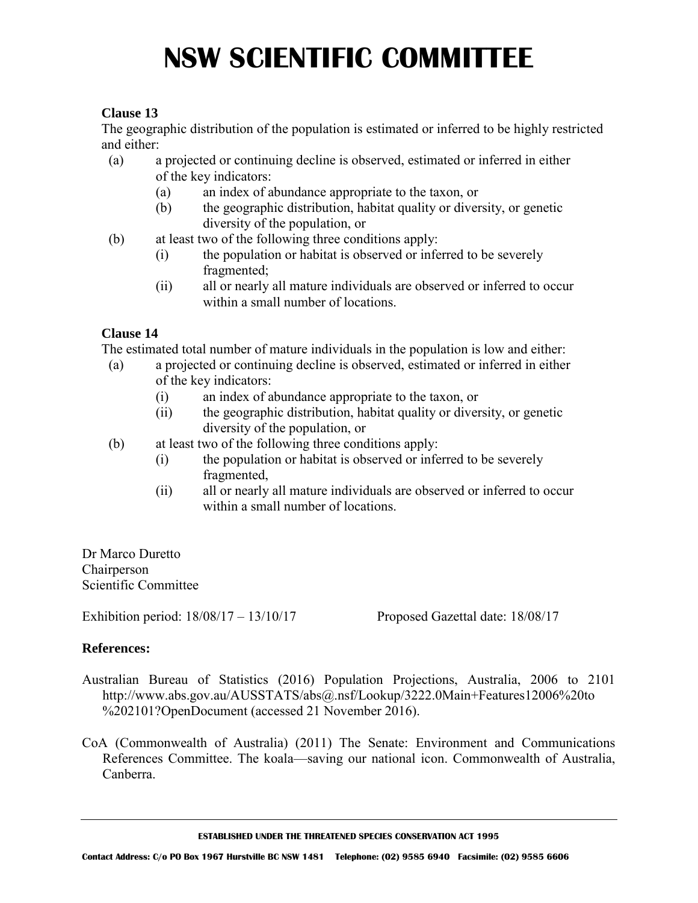### **Clause 13**

The geographic distribution of the population is estimated or inferred to be highly restricted and either:

- (a) a projected or continuing decline is observed, estimated or inferred in either of the key indicators:
	- (a) an index of abundance appropriate to the taxon, or
	- (b) the geographic distribution, habitat quality or diversity, or genetic diversity of the population, or
- (b) at least two of the following three conditions apply:
	- (i) the population or habitat is observed or inferred to be severely fragmented;
	- (ii) all or nearly all mature individuals are observed or inferred to occur within a small number of locations.

### **Clause 14**

The estimated total number of mature individuals in the population is low and either:

- (a) a projected or continuing decline is observed, estimated or inferred in either of the key indicators:
	- (i) an index of abundance appropriate to the taxon, or
	- (ii) the geographic distribution, habitat quality or diversity, or genetic diversity of the population, or
- (b) at least two of the following three conditions apply:
	- (i) the population or habitat is observed or inferred to be severely fragmented,
	- (ii) all or nearly all mature individuals are observed or inferred to occur within a small number of locations.

Dr Marco Duretto Chairperson Scientific Committee

Exhibition period:  $18/08/17 - 13/10/17$  Proposed Gazettal date:  $18/08/17$ 

#### **References:**

- Australian Bureau of Statistics (2016) Population Projections, Australia, 2006 to 2101 http://www.abs.gov.au/AUSSTATS/abs@.nsf/Lookup/3222.0Main+Features12006%20to %202101?OpenDocument (accessed 21 November 2016).
- CoA (Commonwealth of Australia) (2011) The Senate: Environment and Communications References Committee. The koala—saving our national icon. Commonwealth of Australia, Canberra.

**ESTABLISHED UNDER THE THREATENED SPECIES CONSERVATION ACT 1995**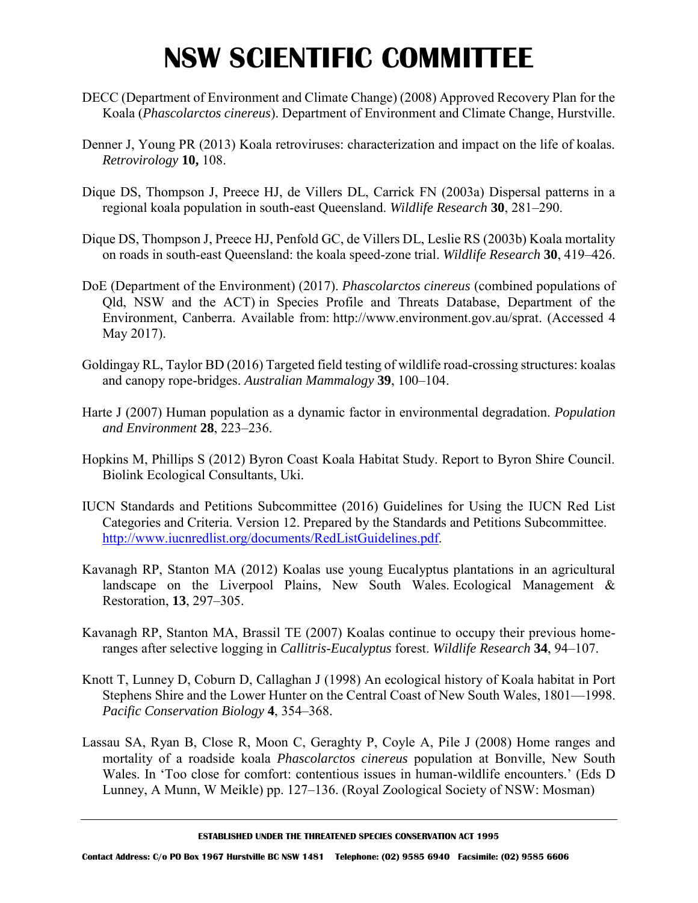- DECC (Department of Environment and Climate Change) (2008) Approved Recovery Plan for the Koala (*Phascolarctos cinereus*). Department of Environment and Climate Change, Hurstville.
- Denner J, Young PR (2013) Koala retroviruses: characterization and impact on the life of koalas. *Retrovirology* **10,** 108.
- Dique DS, Thompson J, Preece HJ, de Villers DL, Carrick FN (2003a) Dispersal patterns in a regional koala population in south-east Queensland. *Wildlife Research* **30**, 281–290.
- Dique DS, Thompson J, Preece HJ, Penfold GC, de Villers DL, Leslie RS (2003b) Koala mortality on roads in south-east Queensland: the koala speed-zone trial. *Wildlife Research* **30**, 419–426.
- DoE (Department of the Environment) (2017). *Phascolarctos cinereus* (combined populations of Qld, NSW and the ACT) in Species Profile and Threats Database, Department of the Environment, Canberra. Available from: [http://www.environment.gov.au/sprat.](http://www.environment.gov.au/sprat) (Accessed 4 May 2017).
- Goldingay RL, Taylor BD (2016) Targeted field testing of wildlife road-crossing structures: koalas and canopy rope-bridges. *Australian Mammalogy* **39**, 100–104.
- Harte J (2007) Human population as a dynamic factor in environmental degradation. *Population and Environment* **28**, 223–236.
- Hopkins M, Phillips S (2012) Byron Coast Koala Habitat Study. Report to Byron Shire Council. Biolink Ecological Consultants, Uki.
- IUCN Standards and Petitions Subcommittee (2016) Guidelines for Using the IUCN Red List Categories and Criteria. Version 12. Prepared by the Standards and Petitions Subcommittee. [http://www.iucnredlist.org/documents/RedListGuidelines.pdf.](http://www.iucnredlist.org/documents/RedListGuidelines.pdf)
- Kavanagh RP, Stanton MA (2012) Koalas use young Eucalyptus plantations in an agricultural landscape on the Liverpool Plains, New South Wales. Ecological Management & Restoration, **13**, 297–305.
- Kavanagh RP, Stanton MA, Brassil TE (2007) Koalas continue to occupy their previous homeranges after selective logging in *Callitris*-*Eucalyptus* forest. *Wildlife Research* **34**, 94–107.
- Knott T, Lunney D, Coburn D, Callaghan J (1998) An ecological history of Koala habitat in Port Stephens Shire and the Lower Hunter on the Central Coast of New South Wales, 1801—1998. *Pacific Conservation Biology* **4**, 354–368.
- Lassau SA, Ryan B, Close R, Moon C, Geraghty P, Coyle A, Pile J (2008) Home ranges and mortality of a roadside koala *Phascolarctos cinereus* population at Bonville, New South Wales. In 'Too close for comfort: contentious issues in human-wildlife encounters.' (Eds D Lunney, A Munn, W Meikle) pp. 127–136. (Royal Zoological Society of NSW: Mosman)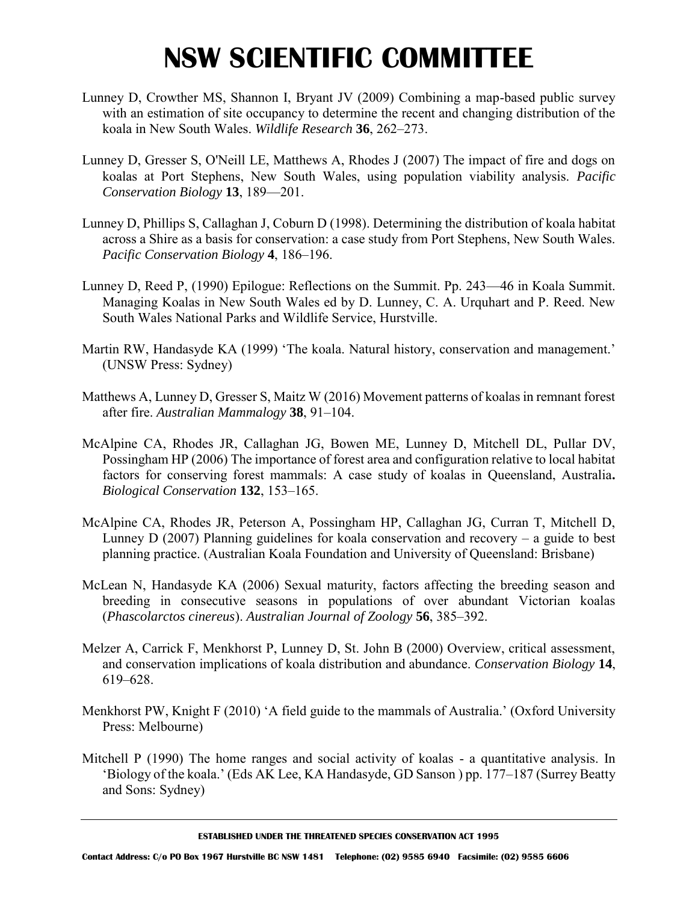- Lunney D, Crowther MS, Shannon I, Bryant JV (2009) Combining a map-based public survey with an estimation of site occupancy to determine the recent and changing distribution of the koala in New South Wales. *Wildlife Research* **36**, 262–273.
- Lunney D, Gresser S, O'Neill LE, Matthews A, Rhodes J (2007) The impact of fire and dogs on koalas at Port Stephens, New South Wales, using population viability analysis. *Pacific Conservation Biology* **13**, 189—201.
- Lunney D, Phillips S, Callaghan J, Coburn D (1998). Determining the distribution of koala habitat across a Shire as a basis for conservation: a case study from Port Stephens, New South Wales. *Pacific Conservation Biology* **4**, 186–196.
- Lunney D, Reed P, (1990) Epilogue: Reflections on the Summit. Pp. 243—46 in Koala Summit. Managing Koalas in New South Wales ed by D. Lunney, C. A. Urquhart and P. Reed. New South Wales National Parks and Wildlife Service, Hurstville.
- Martin RW, Handasyde KA (1999) 'The koala. Natural history, conservation and management.' (UNSW Press: Sydney)
- Matthews A, Lunney D, Gresser S, Maitz W (2016) Movement patterns of koalas in remnant forest after fire. *Australian Mammalogy* **38**, 91–104.
- McAlpine CA, Rhodes JR, Callaghan JG, Bowen ME, Lunney D, Mitchell DL, Pullar DV, Possingham HP (2006) The importance of forest area and configuration relative to local habitat factors for conserving forest mammals: A case study of koalas in Queensland, Australia**.** *Biological Conservation* **132**, 153–165.
- McAlpine CA, Rhodes JR, Peterson A, Possingham HP, Callaghan JG, Curran T, Mitchell D, Lunney  $D(2007)$  Planning guidelines for koala conservation and recovery – a guide to best planning practice. (Australian Koala Foundation and University of Queensland: Brisbane)
- McLean N, Handasyde KA (2006) Sexual maturity, factors affecting the breeding season and breeding in consecutive seasons in populations of over abundant Victorian koalas (*Phascolarctos cinereus*). *Australian Journal of Zoology* **56**, 385–392.
- Melzer A, Carrick F, Menkhorst P, Lunney D, St. John B (2000) Overview, critical assessment, and conservation implications of koala distribution and abundance. *Conservation Biology* **14**, 619–628.
- Menkhorst PW, Knight F (2010) 'A field guide to the mammals of Australia.' (Oxford University Press: Melbourne)
- Mitchell P (1990) The home ranges and social activity of koalas a quantitative analysis. In 'Biology of the koala.' (Eds AK Lee, KA Handasyde, GD Sanson ) pp. 177–187 (Surrey Beatty and Sons: Sydney)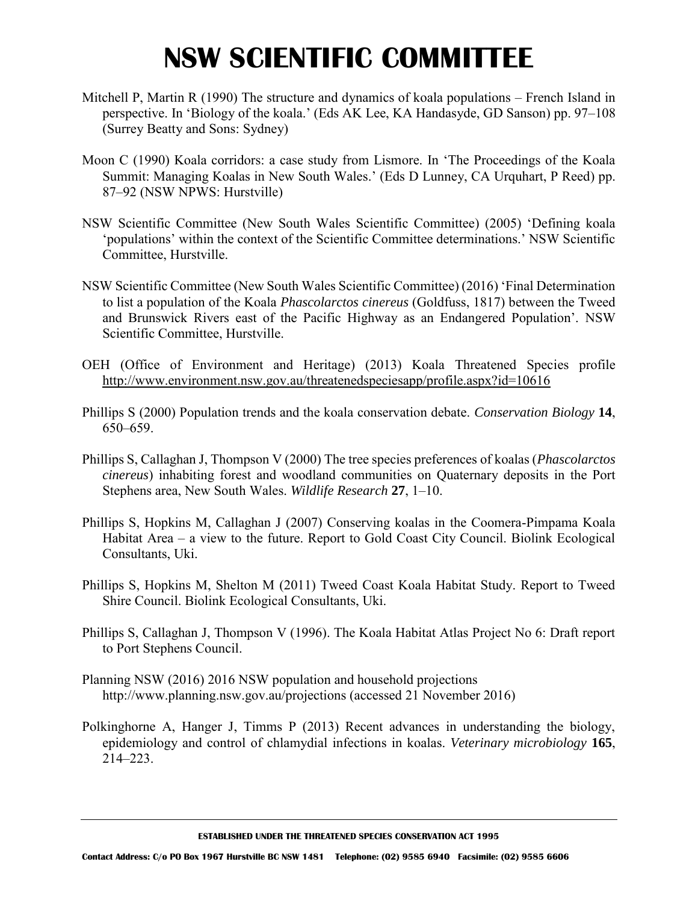- Mitchell P, Martin R (1990) The structure and dynamics of koala populations French Island in perspective. In 'Biology of the koala.' (Eds AK Lee, KA Handasyde, GD Sanson) pp. 97–108 (Surrey Beatty and Sons: Sydney)
- Moon C (1990) Koala corridors: a case study from Lismore. In 'The Proceedings of the Koala Summit: Managing Koalas in New South Wales.' (Eds D Lunney, CA Urquhart, P Reed) pp. 87–92 (NSW NPWS: Hurstville)
- NSW Scientific Committee (New South Wales Scientific Committee) (2005) 'Defining koala 'populations' within the context of the Scientific Committee determinations.' NSW Scientific Committee, Hurstville.
- NSW Scientific Committee (New South Wales Scientific Committee) (2016) 'Final Determination to list a population of the Koala *Phascolarctos cinereus* (Goldfuss, 1817) between the Tweed and Brunswick Rivers east of the Pacific Highway as an Endangered Population'. NSW Scientific Committee, Hurstville.
- OEH (Office of Environment and Heritage) (2013) Koala Threatened Species profile <http://www.environment.nsw.gov.au/threatenedspeciesapp/profile.aspx?id=10616>
- Phillips S (2000) Population trends and the koala conservation debate. *Conservation Biology* **14**, 650–659.
- Phillips S, Callaghan J, Thompson V (2000) The tree species preferences of koalas (*Phascolarctos cinereus*) inhabiting forest and woodland communities on Quaternary deposits in the Port Stephens area, New South Wales. *Wildlife Research* **27**, 1–10.
- Phillips S, Hopkins M, Callaghan J (2007) Conserving koalas in the Coomera-Pimpama Koala Habitat Area – a view to the future. Report to Gold Coast City Council. Biolink Ecological Consultants, Uki.
- Phillips S, Hopkins M, Shelton M (2011) Tweed Coast Koala Habitat Study. Report to Tweed Shire Council. Biolink Ecological Consultants, Uki.
- Phillips S, Callaghan J, Thompson V (1996). The Koala Habitat Atlas Project No 6: Draft report to Port Stephens Council.
- Planning NSW (2016) 2016 NSW population and household projections http://www.planning.nsw.gov.au/projections (accessed 21 November 2016)
- Polkinghorne A, Hanger J, Timms P (2013) Recent advances in understanding the biology, epidemiology and control of chlamydial infections in koalas. *Veterinary microbiology* **165**, 214–223.

**ESTABLISHED UNDER THE THREATENED SPECIES CONSERVATION ACT 1995**